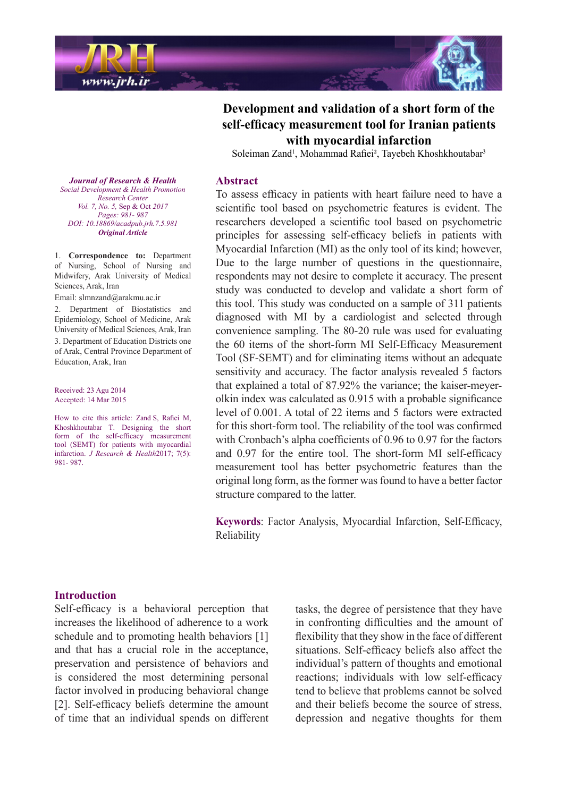



Soleiman Zand<sup>1</sup>, Mohammad Rafiei<sup>2</sup>, Tayebeh Khoshkhoutabar<sup>3</sup>

## **Abstract**

To assess efficacy in patients with heart failure need to have a scientific tool based on psychometric features is evident. The researchers developed a scientific tool based on psychometric principles for assessing self-efficacy beliefs in patients with Myocardial Infarction (MI) as the only tool of its kind; however, Due to the large number of questions in the questionnaire, respondents may not desire to complete it accuracy. The present study was conducted to develop and validate a short form of this tool. This study was conducted on a sample of 311 patients diagnosed with MI by a cardiologist and selected through convenience sampling. The 80-20 rule was used for evaluating the 60 items of the short-form MI Self-Efficacy Measurement Tool (SF-SEMT) and for eliminating items without an adequate sensitivity and accuracy. The factor analysis revealed 5 factors olkin index was calculated as  $0.915$  with a probable significance that explained a total of 87.92% the variance; the kaiser-meyerlevel of 0.001. A total of 22 items and 5 factors were extracted for this short-form tool. The reliability of the tool was confirmed with Cronbach's alpha coefficients of  $0.96$  to  $0.97$  for the factors and 0.97 for the entire tool. The short-form MI self-efficacy measurement tool has better psychometric features than the original long form, as the former was found to have a better factor structure compared to the latter.

Keywords: Factor Analysis, Myocardial Infarction, Self-Efficacy, Reliability

**Journal of Research & Health**  *Promotion Health & Development Social Center Research Vol. 7, No. 5, Sep & Oct 2017* Pages: 981- 987 *DOI*: 10.18869/ acadpub.jrh.7.5.981 *Article Original*

1. **Correspondence to:** Department of Nursing. School of Nursing and Midwifery, Arak University of Medical Sciences, Arak, Iran

Email: slmnzand@arakmu.ac.ir

2. Department of Biostatistics and Epidemiology, School of Medicine, Arak University of Medical Sciences, Arak, Iran 3. Department of Education Districts one of Arak. Central Province Department of Education, Arak, Iran

Received: 23 Agu 2014 Accepted: 14 Mar 2015

How to cite this article: Zand S, Rafiei M, Khoshkhoutabar T. Designing the short form of the self-efficacy measurement tool (SEMT) for patients with myocardial infarction. *J Research & Health* 2017; 7(5): 987. 981-

#### **Introduction**

Self-efficacy is a behavioral perception that increases the likelihood of adherence to a work schedule and to promoting health behaviors [1] and that has a crucial role in the acceptance, preservation and persistence of behaviors and is considered the most determining personal factor involved in producing behavioral change [2]. Self-efficacy beliefs determine the amount of time that an individual spends on different tasks, the degree of persistence that they have in confronting difficulties and the amount of flexibility that they show in the face of different situations. Self-efficacy beliefs also affect the individual's pattern of thoughts and emotional reactions; individuals with low self-efficacy tend to believe that problems cannot be solved and their beliefs become the source of stress. depression and negative thoughts for them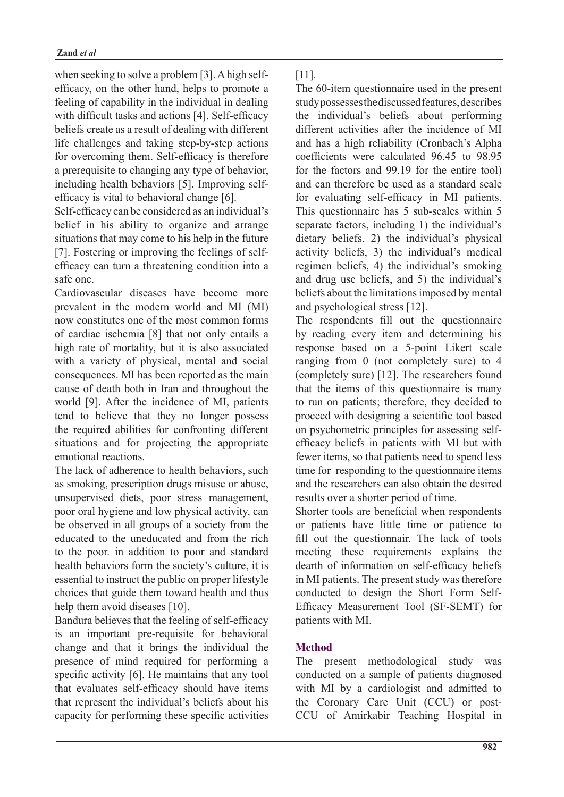efficacy, on the other hand, helps to promote a when seeking to solve a problem [3]. A high selffeeling of capability in the individual in dealing with difficult tasks and actions [4]. Self-efficacy beliefs create as a result of dealing with different life challenges and taking step-by-step actions for overcoming them. Self-efficacy is therefore a prerequisite to changing any type of behavior, including health behaviors [5]. Improving self-<br>efficacy is vital to behavioral change [6].

Self-efficacy can be considered as an individual's belief in his ability to organize and arrange situations that may come to his help in the future efficacy can turn a threatening condition into a  $[7]$ . Fostering or improving the feelings of selfsafe one

Cardiovascular diseases have become more prevalent in the modern world and MI (MI) now constitutes one of the most common forms of cardiac ischemia [8] that not only entails a high rate of mortality, but it is also associated with a variety of physical, mental and social consequences. MI has been reported as the main cause of death both in Iran and throughout the world [9]. After the incidence of MI, patients tend to believe that they no longer possess the required abilities for confronting different situations and for projecting the appropriate emotional reactions.

The lack of adherence to health behaviors, such as smoking, prescription drugs misuse or abuse, unsupervised diets, poor stress management, poor oral hygiene and low physical activity, can be observed in all groups of a society from the educated to the uneducated and from the rich to the poor. in addition to poor and standard health behaviors form the society's culture, it is essential to instruct the public on proper lifestyle choices that guide them toward health and thus help them avoid diseases [10].

Bandura believes that the feeling of self-efficacy is an important pre-requisite for behavioral change and that it brings the individual the presence of mind required for performing a specific activity  $[6]$ . He maintains that any tool that evaluates self-efficacy should have items that represent the individual's beliefs about his capacity for performing these specific activities .[11]

The 60-item questionnaire used in the present study possesses the discussed features, describes the individual's beliefs about performing different activities after the incidence of MI and has a high reliability (Cronbach's Alpha coefficients were calculated 96.45 to 98.95 for the factors and  $99.19$  for the entire tool) and can therefore be used as a standard scale for evaluating self-efficacy in MI patients. This questionnaire has 5 sub-scales within 5 separate factors, including 1) the individual's dietary beliefs, 2) the individual's physical activity beliefs, 3) the individual's medical regimen beliefs, 4) the individual's smoking and drug use beliefs, and 5) the individual's beliefs about the limitations imposed by mental and psychological stress  $[12]$ .

The respondents fill out the questionnaire by reading every item and determining his response based on a 5-point Likert scale ranging from  $0$  (not completely sure) to  $4$ (completely sure)  $[12]$ . The researchers found that the items of this questionnaire is many to run on patients; therefore, they decided to proceed with designing a scientific tool based efficacy beliefs in patients with MI but with on psychometric principles for assessing selffewer items, so that patients need to spend less time for responding to the questionnaire items and the researchers can also obtain the desired results over a shorter period of time.

Shorter tools are beneficial when respondents or patients have little time or patience to fill out the questionnair. The lack of tools meeting these requirements explains the dearth of information on self-efficacy beliefs in MI patients. The present study was therefore Efficacy Measurement Tool (SF-SEMT) for conducted to design the Short Form Selfpatients with MI.

# **Method**

The present methodological study was conducted on a sample of patients diagnosed with MI by a cardiologist and admitted to CCU of Amirkabir Teaching Hospital in the Coronary Care Unit (CCU) or post-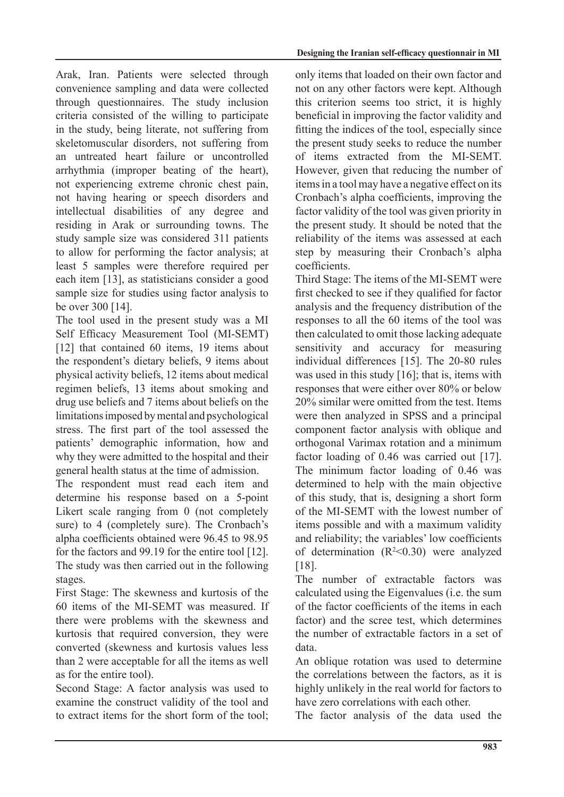Arak, Iran. Patients were selected through convenience sampling and data were collected through questionnaires. The study inclusion criteria consisted of the willing to participate in the study, being literate, not suffering from skeletomuscular disorders, not suffering from an untreated heart failure or uncontrolled arrhythmia (improper beating of the heart), not experiencing extreme chronic chest pain, not having hearing or speech disorders and intellectual disabilities of any degree and residing in Arak or surrounding towns. The study sample size was considered 311 patients to allow for performing the factor analysis; at least 5 samples were therefore required per each item [13], as statisticians consider a good sample size for studies using factor analysis to be over  $300$  [14].

The tool used in the present study was a MI Self Efficacy Measurement Tool (MI-SEMT)  $[12]$  that contained 60 items, 19 items about the respondent's dietary beliefs, 9 items about physical activity beliefs, 12 items about medical regimen beliefs, 13 items about smoking and drug use beliefs and 7 items about beliefs on the limitations imposed by mental and psychological stress. The first part of the tool assessed the patients' demographic information, how and why they were admitted to the hospital and their general health status at the time of admission.

The respondent must read each item and determine his response based on a 5-point Likert scale ranging from  $0$  (not completely sure) to 4 (completely sure). The Cronbach's alpha coefficients obtained were 96.45 to 98.95 for the factors and 99.19 for the entire tool  $[12]$ . The study was then carried out in the following stages.

First Stage: The skewness and kurtosis of the 60 items of the MI-SEMT was measured. If there were problems with the skewness and kurtosis that required conversion, they were converted (skewness and kurtosis values less than 2 were acceptable for all the items as well as for the entire tool).

Second Stage: A factor analysis was used to examine the construct validity of the tool and to extract items for the short form of the tool;

Designing the Iranian self-efficacy questionnair in MI

only items that loaded on their own factor and not on any other factors were kept. Although this criterion seems too strict, it is highly beneficial in improving the factor validity and fitting the indices of the tool, especially since the present study seeks to reduce the number of items extracted from the MI-SEMT. However, given that reducing the number of items in a tool may have a negative effect on its Cronbach's alpha coefficients, improving the factor validity of the tool was given priority in the present study. It should be noted that the reliability of the items was assessed at each step by measuring their Cronbach's alpha .coefficients

Third Stage: The items of the MI-SEMT were first checked to see if they qualified for factor analysis and the frequency distribution of the responses to all the 60 items of the tool was then calculated to omit those lacking adequate sensitivity and accuracy for measuring individual differences [15]. The 20-80 rules was used in this study  $[16]$ ; that is, items with responses that were either over 80% or below  $20\%$  similar were omitted from the test. Items were then analyzed in SPSS and a principal component factor analysis with oblique and orthogonal Varimax rotation and a minimum factor loading of  $0.46$  was carried out [17]. The minimum factor loading of 0.46 was determined to help with the main objective of this study, that is, designing a short form of the MI-SEMT with the lowest number of items possible and with a maximum validity and reliability; the variables' low coefficients of determination  $(R<sup>2</sup><0.30)$  were analyzed .[18]

The number of extractable factors was calculated using the Eigenvalues (i.e. the sum of the factor coefficients of the items in each factor) and the scree test, which determines the number of extractable factors in a set of data.

An oblique rotation was used to determine the correlations between the factors, as it is highly unlikely in the real world for factors to have zero correlations with each other

The factor analysis of the data used the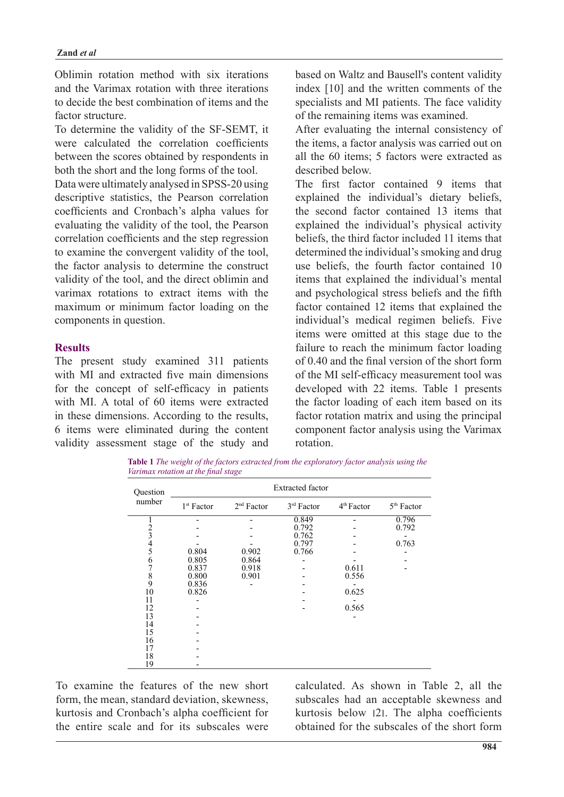Oblimin rotation method with six iterations and the Varimax rotation with three iterations to decide the best combination of items and the factor structure

To determine the validity of the SF-SEMT, it were calculated the correlation coefficients between the scores obtained by respondents in both the short and the long forms of the tool.

Data were ultimately analysed in SPSS-20 using descriptive statistics, the Pearson correlation coefficients and Cronbach's alpha values for evaluating the validity of the tool, the Pearson correlation coefficients and the step regression to examine the convergent validity of the tool, the factor analysis to determine the construct validity of the tool, and the direct oblimin and varimax rotations to extract items with the maximum or minimum factor loading on the components in question.

## **Results**

The present study examined 311 patients with MI and extracted five main dimensions for the concept of self-efficacy in patients with MI. A total of 60 items were extracted in these dimensions. According to the results, 6 items were eliminated during the content validity assessment stage of the study and based on Waltz and Bausell's content validity index  $[10]$  and the written comments of the specialists and MI patients. The face validity of the remaining items was examined.

After evaluating the internal consistency of the items, a factor analysis was carried out on all the  $60$  items: 5 factors were extracted as described below

The first factor contained 9 items that explained the individual's dietary beliefs, the second factor contained 13 items that explained the individual's physical activity beliefs, the third factor included 11 items that determined the individual's smoking and drug use beliefs, the fourth factor contained 10 items that explained the individual's mental and psychological stress beliefs and the fifth factor contained 12 items that explained the individual's medical regimen beliefs. Five items were omitted at this stage due to the failure to reach the minimum factor loading of  $0.40$  and the final version of the short form of the MI self-efficacy measurement tool was developed with 22 items. Table 1 presents the factor loading of each item based on its factor rotation matrix and using the principal component factor analysis using the Varimax .rotation

**Table 1** The weight of the factors extracted from the exploratory factor analysis using the *Varimax rotation at the final stage* 

| Question<br>number | <b>Extracted factor</b> |                        |                         |                        |                        |  |  |  |  |  |
|--------------------|-------------------------|------------------------|-------------------------|------------------------|------------------------|--|--|--|--|--|
|                    | 1 <sup>st</sup> Factor  | 2 <sup>nd</sup> Factor | 3 <sup>rd</sup> Factor  | 4 <sup>th</sup> Factor | 5 <sup>th</sup> Factor |  |  |  |  |  |
|                    |                         |                        | 0.849<br>0.792<br>0.762 |                        | 0.796<br>0.792         |  |  |  |  |  |
|                    | 0.804                   | 0.902                  | 0.797<br>0.766          |                        | 0.763                  |  |  |  |  |  |
| 23456789           | 0.805<br>0.837          | 0.864<br>0.918         |                         | 0.611                  |                        |  |  |  |  |  |
| 10                 | 0.800<br>0.836<br>0.826 | 0.901                  |                         | 0.556<br>0.625         |                        |  |  |  |  |  |
| 11<br>12           |                         |                        |                         | 0.565                  |                        |  |  |  |  |  |
| 13<br>14           |                         |                        |                         |                        |                        |  |  |  |  |  |
| 15<br>16<br>17     |                         |                        |                         |                        |                        |  |  |  |  |  |
| 18<br>19           |                         |                        |                         |                        |                        |  |  |  |  |  |

To examine the features of the new short form, the mean, standard deviation, skewness, kurtosis and Cronbach's alpha coefficient for the entire scale and for its subscales were

calculated. As shown in Table 2, all the subscales had an acceptable skewness and kurtosis below  $|2|$ . The alpha coefficients obtained for the subscales of the short form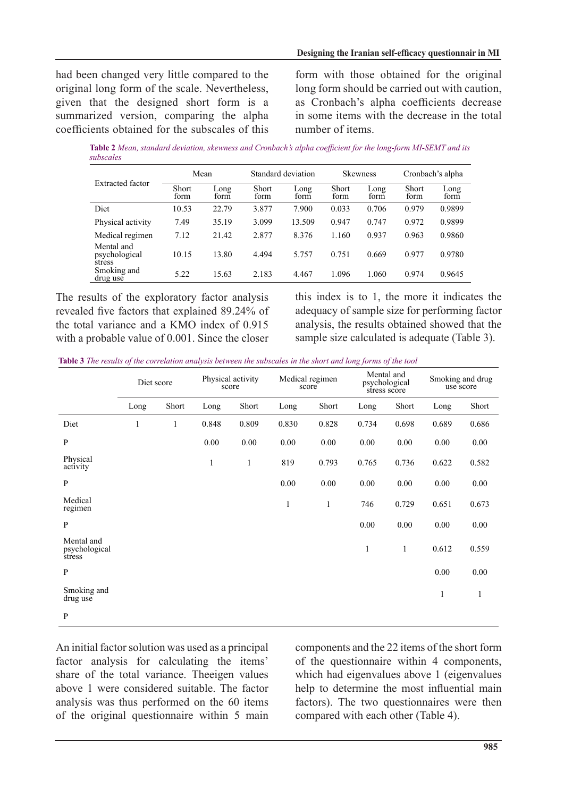had been changed very little compared to the original long form of the scale. Nevertheless, given that the designed short form is a summarized version, comparing the alpha coefficients obtained for the subscales of this form with those obtained for the original long form should be carried out with caution, as Cronbach's alpha coefficients decrease in some items with the decrease in the total number of items.

Table 2 Mean, standard deviation, skewness and Cronbach's alpha coefficient for the long-form MI-SEMT and its  *subscales*

|                                       | Mean                 |              | Standard deviation   |              | <b>Skewness</b>      |              | Cronbach's alpha |              |
|---------------------------------------|----------------------|--------------|----------------------|--------------|----------------------|--------------|------------------|--------------|
| <b>Extracted factor</b>               | <b>Short</b><br>form | Long<br>form | <b>Short</b><br>form | Long<br>form | <b>Short</b><br>form | Long<br>form | Short<br>form    | Long<br>form |
| Diet                                  | 10.53                | 22.79        | 3.877                | 7.900        | 0.033                | 0.706        | 0.979            | 0.9899       |
| Physical activity                     | 7.49                 | 35.19        | 3.099                | 13.509       | 0.947                | 0.747        | 0.972            | 0.9899       |
| Medical regimen                       | 7.12                 | 21.42        | 2.877                | 8.376        | 1.160                | 0.937        | 0.963            | 0.9860       |
| Mental and<br>psychological<br>stress | 10.15                | 13.80        | 4.494                | 5.757        | 0.751                | 0.669        | 0.977            | 0.9780       |
| Smoking and<br>drug use               | 5.22                 | 15.63        | 2.183                | 4.467        | 1.096                | 1.060        | 0.974            | 0.9645       |

The results of the exploratory factor analysis revealed five factors that explained 89.24% of the total variance and a KMO index of  $0.915$ with a probable value of 0.001. Since the closer this index is to 1, the more it indicates the adequacy of sample size for performing factor analysis, the results obtained showed that the sample size calculated is adequate (Table 3).

*table 3 The results of the correlation analysis between the subscales in the short and long forms of the tool* 

|                                       | Diet score   |       | Physical activity<br>score |       | Medical regimen<br>score |          | Mental and<br>psychological<br>stress score |       | Smoking and drug<br>use score |          |
|---------------------------------------|--------------|-------|----------------------------|-------|--------------------------|----------|---------------------------------------------|-------|-------------------------------|----------|
|                                       | Long         | Short | Long                       | Short | Long                     | Short    | Long                                        | Short | Long                          | Short    |
| Diet                                  | $\mathbf{1}$ | 1     | 0.848                      | 0.809 | 0.830                    | 0.828    | 0.734                                       | 0.698 | 0.689                         | 0.686    |
| $\mathbf{P}$                          |              |       | $0.00\,$                   | 0.00  | $0.00\,$                 | $0.00\,$ | 0.00                                        | 0.00  | 0.00                          | 0.00     |
| Physical<br>activity                  |              |       | 1                          | 1     | 819                      | 0.793    | 0.765                                       | 0.736 | 0.622                         | 0.582    |
| $\mathbf{P}$                          |              |       |                            |       | 0.00                     | 0.00     | 0.00                                        | 0.00  | 0.00                          | 0.00     |
| Medical<br>regimen                    |              |       |                            |       | 1                        | 1        | 746                                         | 0.729 | 0.651                         | 0.673    |
| P                                     |              |       |                            |       |                          |          | 0.00                                        | 0.00  | 0.00                          | $0.00\,$ |
| Mental and<br>psychological<br>stress |              |       |                            |       |                          |          | $\mathbf{1}$                                | 1     | 0.612                         | 0.559    |
| $\mathbf{P}$                          |              |       |                            |       |                          |          |                                             |       | 0.00                          | 0.00     |
| Smoking and<br>drug use               |              |       |                            |       |                          |          |                                             |       | 1                             | 1        |
| P                                     |              |       |                            |       |                          |          |                                             |       |                               |          |

An initial factor solution was used as a principal factor analysis for calculating the items' share of the total variance. The igen values above 1 were considered suitable. The factor analysis was thus performed on the 60 items of the original questionnaire within 5 main components and the 22 items of the short form of the questionnaire within  $4$  components, which had eigenvalues above  $1$  (eigenvalues help to determine the most influential main factors). The two questionnaires were then compared with each other (Table 4).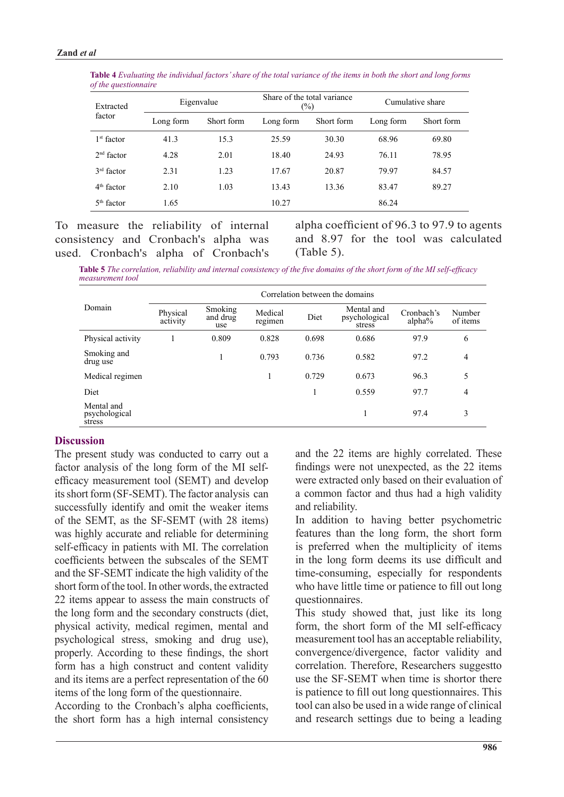| Extracted<br>factor |           | Eigenvalue |           | Share of the total variance<br>$\frac{1}{2}$ | Cumulative share |            |  |
|---------------------|-----------|------------|-----------|----------------------------------------------|------------------|------------|--|
|                     | Long form | Short form | Long form | Short form                                   | Long form        | Short form |  |
| $1st$ factor        | 41.3      | 15.3       | 25.59     | 30.30                                        | 68.96            | 69.80      |  |
| $2nd$ factor        | 4.28      | 2.01       | 18.40     | 24.93                                        | 76.11            | 78.95      |  |
| $3rd$ factor        | 2.31      | 1.23       | 17.67     | 20.87                                        | 79.97            | 84.57      |  |
| $4th$ factor        | 2.10      | 1.03       | 13.43     | 13.36                                        | 83.47            | 89.27      |  |
| $5th$ factor        | 1.65      |            | 10.27     |                                              | 86.24            |            |  |

*f***able 4** Evaluating the individual factors' share of the total variance of the items in both the short and long forms  $of$  *the questionnaire* 

To measure the reliability of internal consistency and Cronbach's alpha was used. Cronbach's alpha of Cronbach's alpha coefficient of 96.3 to 97.9 to agents and 8.97 for the tool was calculated  $(Table 5)$ .

Table 5 The correlation, reliability and internal consistency of the five domains of the short form of the MI self-efficacy measurement tool

|                                       | Correlation between the domains |                            |                    |       |                                       |                      |                    |  |  |  |  |
|---------------------------------------|---------------------------------|----------------------------|--------------------|-------|---------------------------------------|----------------------|--------------------|--|--|--|--|
| Domain                                | Physical<br>activity            | Smoking<br>and drug<br>use | Medical<br>regimen | Diet  | Mental and<br>psychological<br>stress | Cronbach's<br>alpha% | Number<br>of items |  |  |  |  |
| Physical activity                     |                                 | 0.809                      | 0.828              | 0.698 | 0.686                                 | 97.9                 | 6                  |  |  |  |  |
| Smoking and<br>drug use               |                                 |                            | 0.793              | 0.736 | 0.582                                 | 97.2                 | $\overline{4}$     |  |  |  |  |
| Medical regimen                       |                                 |                            | 1                  | 0.729 | 0.673                                 | 96.3                 | 5                  |  |  |  |  |
| Diet                                  |                                 |                            |                    |       | 0.559                                 | 97.7                 | 4                  |  |  |  |  |
| Mental and<br>psychological<br>stress |                                 |                            |                    |       |                                       | 97.4                 | 3                  |  |  |  |  |

### **Discussion**

The present study was conducted to carry out a efficacy measurement tool (SEMT) and develop factor analysis of the long form of the MI selfits short form (SF-SEMT). The factor analysis can successfully identify and omit the weaker items of the SEMT, as the SF-SEMT (with  $28$  items) was highly accurate and reliable for determining self-efficacy in patients with MI. The correlation coefficients between the subscales of the SEMT and the SF-SEMT indicate the high validity of the short form of the tool. In other words, the extracted 22 items appear to assess the main constructs of the long form and the secondary constructs (diet, physical activity, medical regimen, mental and psychological stress, smoking and drug use). properly. According to these findings, the short form has a high construct and content validity and its items are a perfect representation of the  $60$ items of the long form of the questionnaire.

According to the Cronbach's alpha coefficients, the short form has a high internal consistency and the 22 items are highly correlated. These findings were not unexpected, as the  $22$  items were extracted only based on their evaluation of a common factor and thus had a high validity and reliability.

In addition to having better psychometric features than the long form, the short form is preferred when the multiplicity of items in the long form deems its use difficult and time-consuming, especially for respondents who have little time or patience to fill out long .questionnaires

This study showed that, just like its long form, the short form of the MI self-efficacy measurement tool has an acceptable reliability. convergence/divergence, factor validity and correlation. Therefore, Researchers suggestto use the SF-SEMT when time is shortor there is patience to fill out long questionnaires. This tool can also be used in a wide range of clinical and research settings due to being a leading